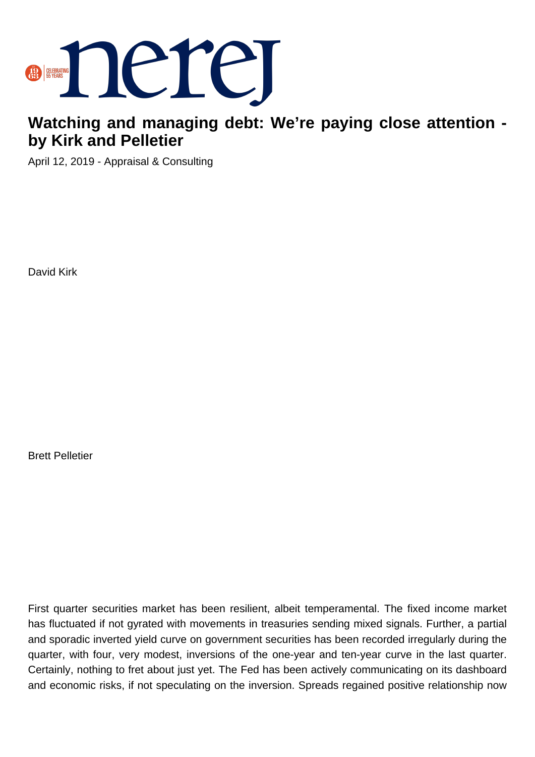

## **Watching and managing debt: We're paying close attention by Kirk and Pelletier**

April 12, 2019 - Appraisal & Consulting

David Kirk

Brett Pelletier

First quarter securities market has been resilient, albeit temperamental. The fixed income market has fluctuated if not gyrated with movements in treasuries sending mixed signals. Further, a partial and sporadic inverted yield curve on government securities has been recorded irregularly during the quarter, with four, very modest, inversions of the one-year and ten-year curve in the last quarter. Certainly, nothing to fret about just yet. The Fed has been actively communicating on its dashboard and economic risks, if not speculating on the inversion. Spreads regained positive relationship now